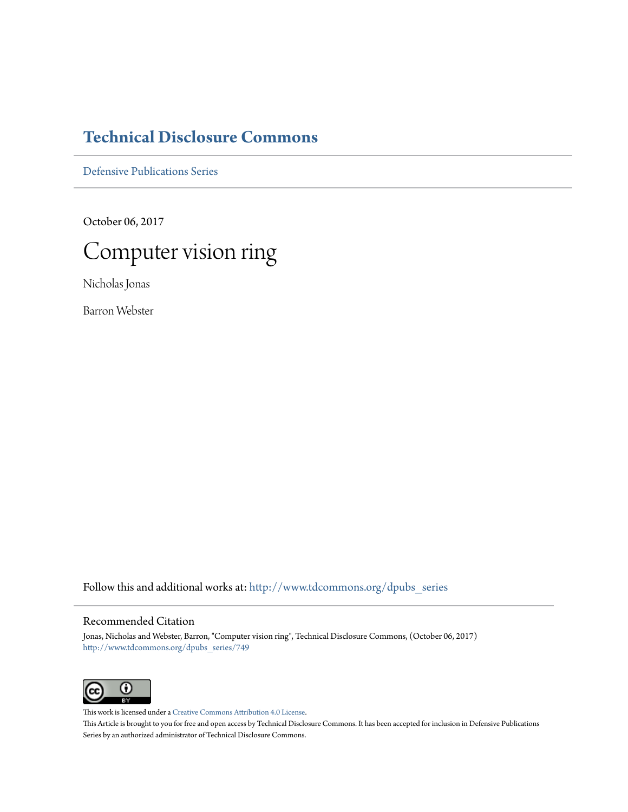## **[Technical Disclosure Commons](http://www.tdcommons.org?utm_source=www.tdcommons.org%2Fdpubs_series%2F749&utm_medium=PDF&utm_campaign=PDFCoverPages)**

[Defensive Publications Series](http://www.tdcommons.org/dpubs_series?utm_source=www.tdcommons.org%2Fdpubs_series%2F749&utm_medium=PDF&utm_campaign=PDFCoverPages)

October 06, 2017

# Computer vision ring

Nicholas Jonas

Barron Webster

Follow this and additional works at: [http://www.tdcommons.org/dpubs\\_series](http://www.tdcommons.org/dpubs_series?utm_source=www.tdcommons.org%2Fdpubs_series%2F749&utm_medium=PDF&utm_campaign=PDFCoverPages)

#### Recommended Citation

Jonas, Nicholas and Webster, Barron, "Computer vision ring", Technical Disclosure Commons, (October 06, 2017) [http://www.tdcommons.org/dpubs\\_series/749](http://www.tdcommons.org/dpubs_series/749?utm_source=www.tdcommons.org%2Fdpubs_series%2F749&utm_medium=PDF&utm_campaign=PDFCoverPages)



This work is licensed under a [Creative Commons Attribution 4.0 License.](http://creativecommons.org/licenses/by/4.0/deed.en_US) This Article is brought to you for free and open access by Technical Disclosure Commons. It has been accepted for inclusion in Defensive Publications Series by an authorized administrator of Technical Disclosure Commons.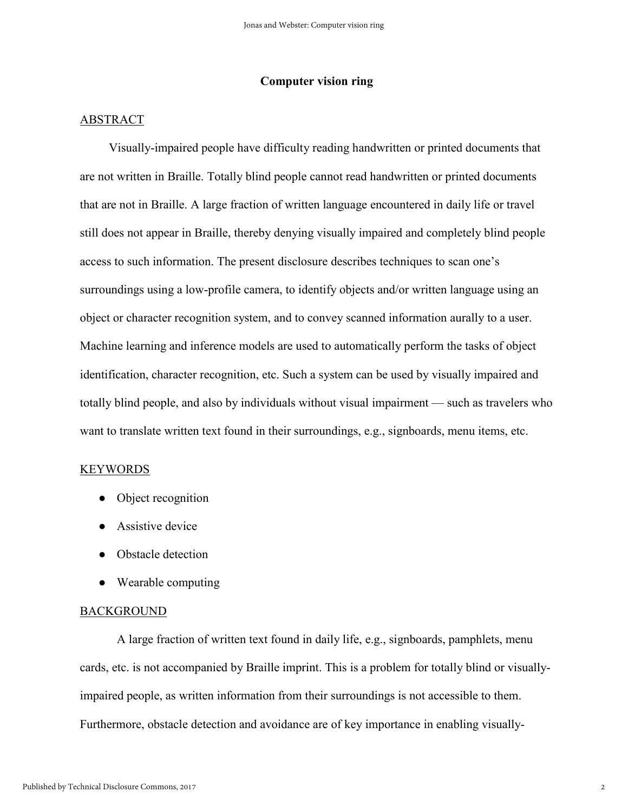#### **Computer vision ring**

#### ABSTRACT

Visually-impaired people have difficulty reading handwritten or printed documents that are not written in Braille. Totally blind people cannot read handwritten or printed documents that are not in Braille. A large fraction of written language encountered in daily life or travel still does not appear in Braille, thereby denying visually impaired and completely blind people access to such information. The present disclosure describes techniques to scan one's surroundings using a low-profile camera, to identify objects and/or written language using an object or character recognition system, and to convey scanned information aurally to a user. Machine learning and inference models are used to automatically perform the tasks of object identification, character recognition, etc. Such a system can be used by visually impaired and totally blind people, and also by individuals without visual impairment — such as travelers who want to translate written text found in their surroundings, e.g., signboards, menu items, etc.

#### KEYWORDS

- Object recognition
- Assistive device
- Obstacle detection
- Wearable computing

#### BACKGROUND

 A large fraction of written text found in daily life, e.g., signboards, pamphlets, menu cards, etc. is not accompanied by Braille imprint. This is a problem for totally blind or visuallyimpaired people, as written information from their surroundings is not accessible to them. Furthermore, obstacle detection and avoidance are of key importance in enabling visually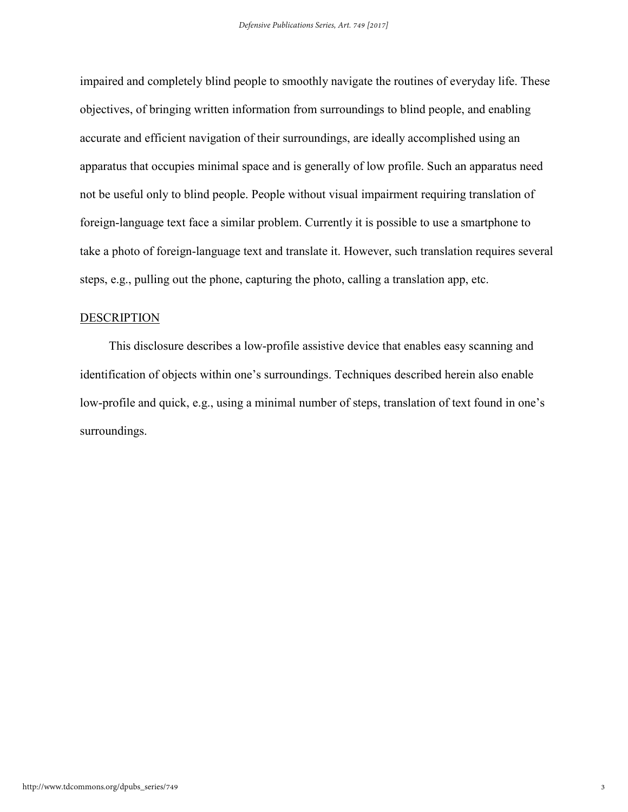impaired and completely blind people to smoothly navigate the routines of everyday life. These objectives, of bringing written information from surroundings to blind people, and enabling accurate and efficient navigation of their surroundings, are ideally accomplished using an apparatus that occupies minimal space and is generally of low profile. Such an apparatus need not be useful only to blind people. People without visual impairment requiring translation of foreign-language text face a similar problem. Currently it is possible to use a smartphone to take a photo of foreign-language text and translate it. However, such translation requires several steps, e.g., pulling out the phone, capturing the photo, calling a translation app, etc.

### **DESCRIPTION**

This disclosure describes a low-profile assistive device that enables easy scanning and identification of objects within one's surroundings. Techniques described herein also enable low-profile and quick, e.g., using a minimal number of steps, translation of text found in one's surroundings.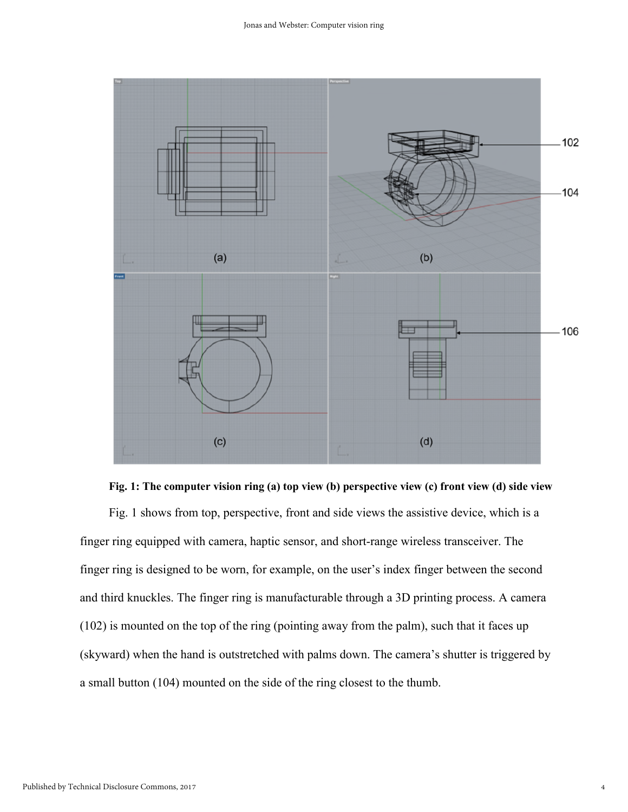

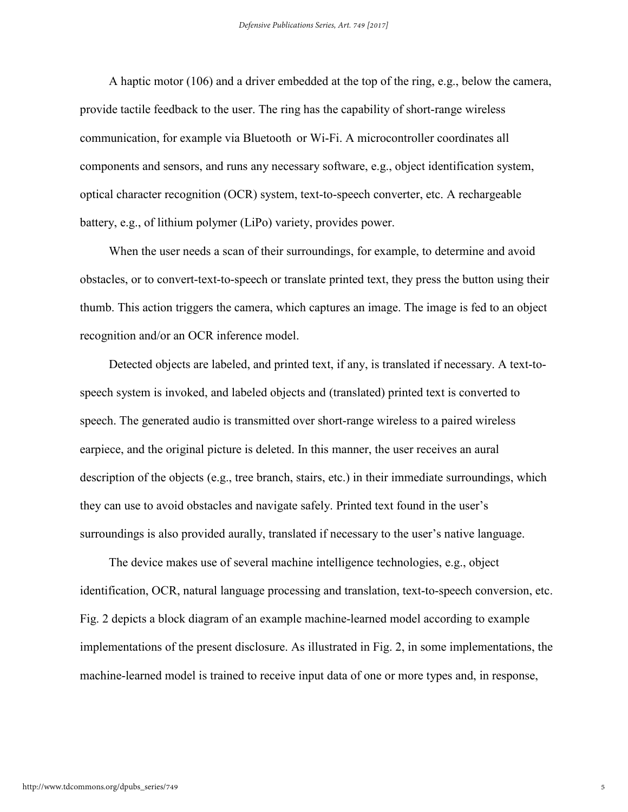A haptic motor (106) and a driver embedded at the top of the ring, e.g., below the camera, provide tactile feedback to the user. The ring has the capability of short-range wireless communication, for example via Bluetooth or Wi-Fi. A microcontroller coordinates all components and sensors, and runs any necessary software, e.g., object identification system, optical character recognition (OCR) system, text-to-speech converter, etc. A rechargeable battery, e.g., of lithium polymer (LiPo) variety, provides power.

When the user needs a scan of their surroundings, for example, to determine and avoid obstacles, or to convert-text-to-speech or translate printed text, they press the button using their thumb. This action triggers the camera, which captures an image. The image is fed to an object recognition and/or an OCR inference model.

Detected objects are labeled, and printed text, if any, is translated if necessary. A text-tospeech system is invoked, and labeled objects and (translated) printed text is converted to speech. The generated audio is transmitted over short-range wireless to a paired wireless earpiece, and the original picture is deleted. In this manner, the user receives an aural description of the objects (e.g., tree branch, stairs, etc.) in their immediate surroundings, which they can use to avoid obstacles and navigate safely. Printed text found in the user's surroundings is also provided aurally, translated if necessary to the user's native language.

The device makes use of several machine intelligence technologies, e.g., object identification, OCR, natural language processing and translation, text-to-speech conversion, etc. Fig. 2 depicts a block diagram of an example machine-learned model according to example implementations of the present disclosure. As illustrated in Fig. 2, in some implementations, the machine-learned model is trained to receive input data of one or more types and, in response,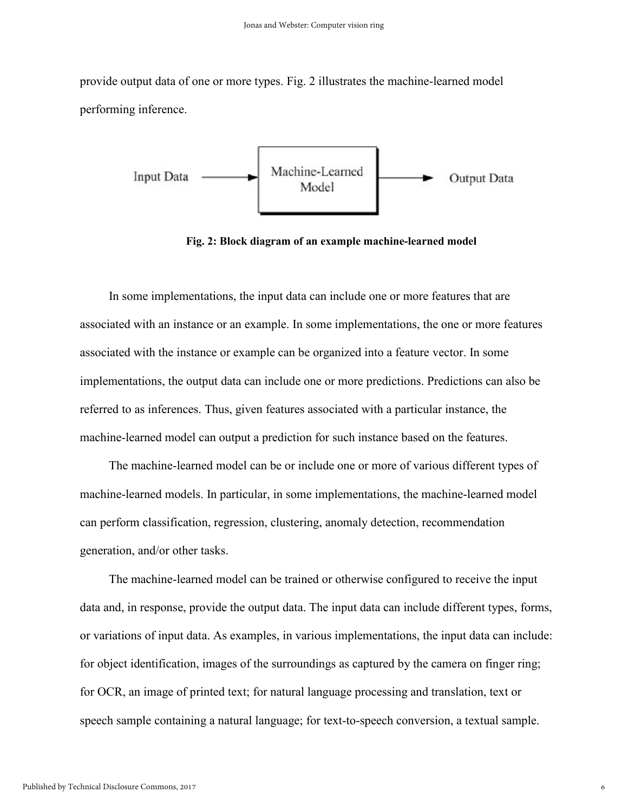provide output data of one or more types. Fig. 2 illustrates the machine-learned model performing inference.



**Fig. 2: Block diagram of an example machine-learned model**

In some implementations, the input data can include one or more features that are associated with an instance or an example. In some implementations, the one or more features associated with the instance or example can be organized into a feature vector. In some implementations, the output data can include one or more predictions. Predictions can also be referred to as inferences. Thus, given features associated with a particular instance, the machine-learned model can output a prediction for such instance based on the features.

The machine-learned model can be or include one or more of various different types of machine-learned models. In particular, in some implementations, the machine-learned model can perform classification, regression, clustering, anomaly detection, recommendation generation, and/or other tasks.

The machine-learned model can be trained or otherwise configured to receive the input data and, in response, provide the output data. The input data can include different types, forms, or variations of input data. As examples, in various implementations, the input data can include: for object identification, images of the surroundings as captured by the camera on finger ring; for OCR, an image of printed text; for natural language processing and translation, text or speech sample containing a natural language; for text-to-speech conversion, a textual sample.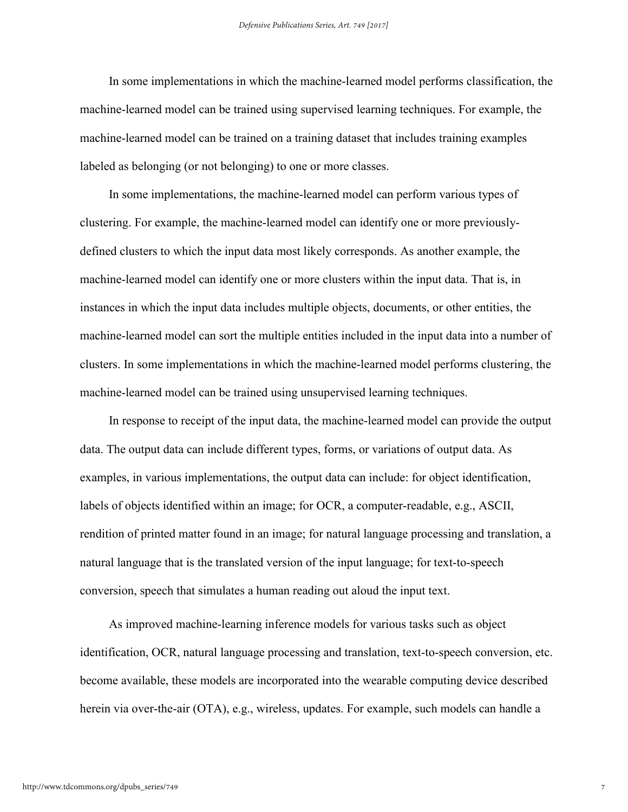In some implementations in which the machine-learned model performs classification, the machine-learned model can be trained using supervised learning techniques. For example, the machine-learned model can be trained on a training dataset that includes training examples labeled as belonging (or not belonging) to one or more classes.

In some implementations, the machine-learned model can perform various types of clustering. For example, the machine-learned model can identify one or more previouslydefined clusters to which the input data most likely corresponds. As another example, the machine-learned model can identify one or more clusters within the input data. That is, in instances in which the input data includes multiple objects, documents, or other entities, the machine-learned model can sort the multiple entities included in the input data into a number of clusters. In some implementations in which the machine-learned model performs clustering, the machine-learned model can be trained using unsupervised learning techniques.

In response to receipt of the input data, the machine-learned model can provide the output data. The output data can include different types, forms, or variations of output data. As examples, in various implementations, the output data can include: for object identification, labels of objects identified within an image; for OCR, a computer-readable, e.g., ASCII, rendition of printed matter found in an image; for natural language processing and translation, a natural language that is the translated version of the input language; for text-to-speech conversion, speech that simulates a human reading out aloud the input text.

As improved machine-learning inference models for various tasks such as object identification, OCR, natural language processing and translation, text-to-speech conversion, etc. become available, these models are incorporated into the wearable computing device described herein via over-the-air (OTA), e.g., wireless, updates. For example, such models can handle a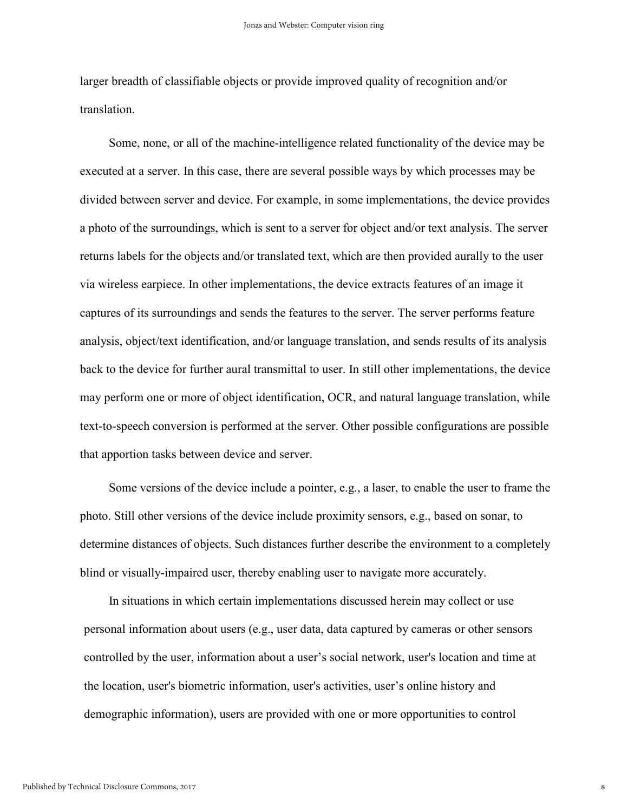larger breadth of classifiable objects or provide improved quality of recognition and/or translation.

Some, none, or all of the machine-intelligence related functionality of the device may be executed at a server. In this case, there are several possible ways by which processes may be divided between server and device. For example, in some implementations, the device provides a photo of the surroundings, which is sent to a server for object and/or text analysis. The server returns labels for the objects and/or translated text, which are then provided aurally to the user via wireless earpiece. In other implementations, the device extracts features of an image it captures of its surroundings and sends the features to the server. The server performs feature analysis, object/text identification, and/or language translation, and sends results of its analysis back to the device for further aural transmittal to user. In still other implementations, the device may perform one or more of object identification, OCR, and natural language translation, while text-to-speech conversion is performed at the server. Other possible configurations are possible that apportion tasks between device and server.

Some versions of the device include a pointer, e.g., a laser, to enable the user to frame the photo. Still other versions of the device include proximity sensors, e.g., based on sonar, to determine distances of objects. Such distances further describe the environment to a completely blind or visually-impaired user, thereby enabling user to navigate more accurately.

In situations in which certain implementations discussed herein may collect or use personal information about users (e.g., user data, data captured by cameras or other sensors controlled by the user, information about a user's social network, user's location and time at the location, user's biometric information, user's activities, user's online history and demographic information), users are provided with one or more opportunities to control

8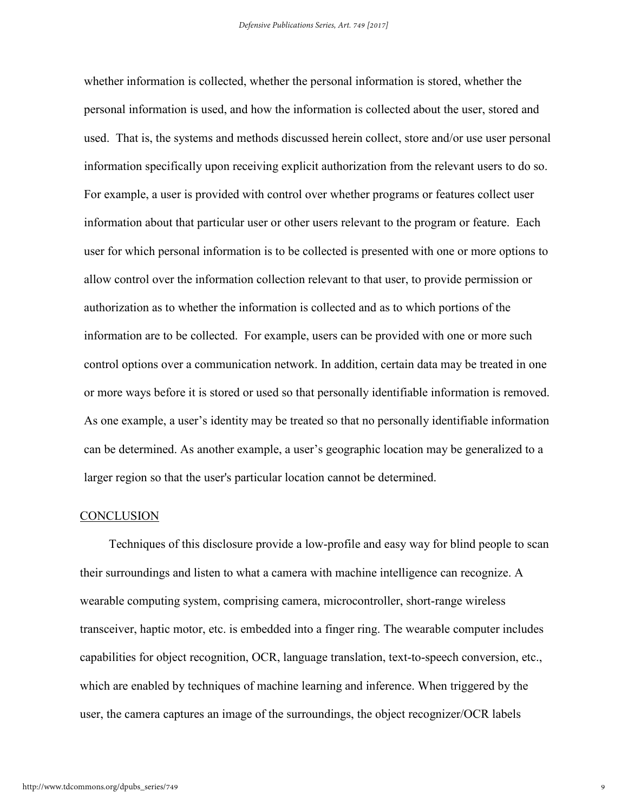whether information is collected, whether the personal information is stored, whether the personal information is used, and how the information is collected about the user, stored and used. That is, the systems and methods discussed herein collect, store and/or use user personal information specifically upon receiving explicit authorization from the relevant users to do so. For example, a user is provided with control over whether programs or features collect user information about that particular user or other users relevant to the program or feature. Each user for which personal information is to be collected is presented with one or more options to allow control over the information collection relevant to that user, to provide permission or authorization as to whether the information is collected and as to which portions of the information are to be collected. For example, users can be provided with one or more such control options over a communication network. In addition, certain data may be treated in one or more ways before it is stored or used so that personally identifiable information is removed. As one example, a user's identity may be treated so that no personally identifiable information can be determined. As another example, a user's geographic location may be generalized to a larger region so that the user's particular location cannot be determined.

#### **CONCLUSION**

Techniques of this disclosure provide a low-profile and easy way for blind people to scan their surroundings and listen to what a camera with machine intelligence can recognize. A wearable computing system, comprising camera, microcontroller, short-range wireless transceiver, haptic motor, etc. is embedded into a finger ring. The wearable computer includes capabilities for object recognition, OCR, language translation, text-to-speech conversion, etc., which are enabled by techniques of machine learning and inference. When triggered by the user, the camera captures an image of the surroundings, the object recognizer/OCR labels

9